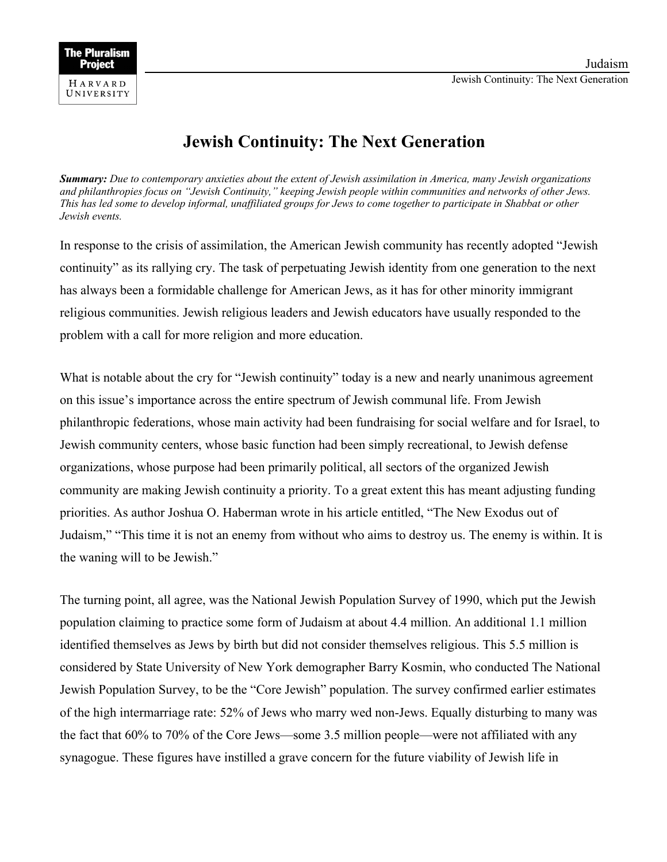## **Jewish Continuity: The Next Generation**

*Summary: Due to contemporary anxieties about the extent of Jewish assimilation in America, many Jewish organizations and philanthropies focus on "Jewish Continuity," keeping Jewish people within communities and networks of other Jews. This has led some to develop informal, unaffiliated groups for Jews to come together to participate in Shabbat or other Jewish events.*

In response to the crisis of assimilation, the American Jewish community has recently adopted "Jewish continuity" as its rallying cry. The task of perpetuating Jewish identity from one generation to the next has always been a formidable challenge for American Jews, as it has for other minority immigrant religious communities. Jewish religious leaders and Jewish educators have usually responded to the problem with a call for more religion and more education.

What is notable about the cry for "Jewish continuity" today is a new and nearly unanimous agreement on this issue's importance across the entire spectrum of Jewish communal life. From Jewish philanthropic federations, whose main activity had been fundraising for social welfare and for Israel, to Jewish community centers, whose basic function had been simply recreational, to Jewish defense organizations, whose purpose had been primarily political, all sectors of the organized Jewish community are making Jewish continuity a priority. To a great extent this has meant adjusting funding priorities. As author Joshua O. Haberman wrote in his article entitled, "The New Exodus out of Judaism," "This time it is not an enemy from without who aims to destroy us. The enemy is within. It is the waning will to be Jewish."

The turning point, all agree, was the National Jewish Population Survey of 1990, which put the Jewish population claiming to practice some form of Judaism at about 4.4 million. An additional 1.1 million identified themselves as Jews by birth but did not consider themselves religious. This 5.5 million is considered by State University of New York demographer Barry Kosmin, who conducted The National Jewish Population Survey, to be the "Core Jewish" population. The survey confirmed earlier estimates of the high intermarriage rate: 52% of Jews who marry wed non-Jews. Equally disturbing to many was the fact that 60% to 70% of the Core Jews—some 3.5 million people—were not affiliated with any synagogue. These figures have instilled a grave concern for the future viability of Jewish life in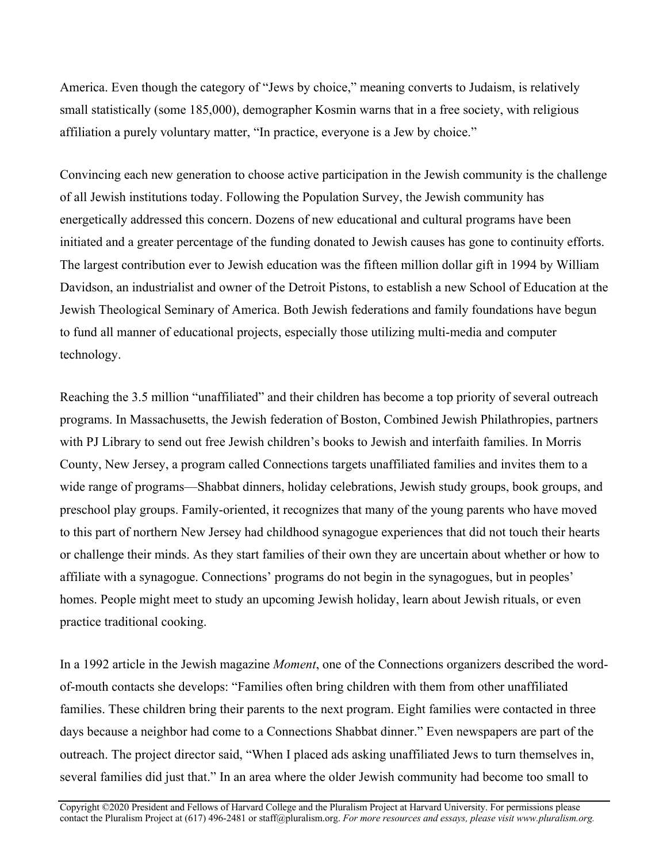America. Even though the category of "Jews by choice," meaning converts to Judaism, is relatively small statistically (some 185,000), demographer Kosmin warns that in a free society, with religious affiliation a purely voluntary matter, "In practice, everyone is a Jew by choice."

Convincing each new generation to choose active participation in the Jewish community is the challenge of all Jewish institutions today. Following the Population Survey, the Jewish community has energetically addressed this concern. Dozens of new educational and cultural programs have been initiated and a greater percentage of the funding donated to Jewish causes has gone to continuity efforts. The largest contribution ever to Jewish education was the fifteen million dollar gift in 1994 by William Davidson, an industrialist and owner of the Detroit Pistons, to establish a new School of Education at the Jewish Theological Seminary of America. Both Jewish federations and family foundations have begun to fund all manner of educational projects, especially those utilizing multi-media and computer technology.

Reaching the 3.5 million "unaffiliated" and their children has become a top priority of several outreach programs. In Massachusetts, the Jewish federation of Boston, Combined Jewish Philathropies, partners with PJ Library to send out free Jewish children's books to Jewish and interfaith families. In Morris County, New Jersey, a program called Connections targets unaffiliated families and invites them to a wide range of programs—Shabbat dinners, holiday celebrations, Jewish study groups, book groups, and preschool play groups. Family-oriented, it recognizes that many of the young parents who have moved to this part of northern New Jersey had childhood synagogue experiences that did not touch their hearts or challenge their minds. As they start families of their own they are uncertain about whether or how to affiliate with a synagogue. Connections' programs do not begin in the synagogues, but in peoples' homes. People might meet to study an upcoming Jewish holiday, learn about Jewish rituals, or even practice traditional cooking.

In a 1992 article in the Jewish magazine *Moment*, one of the Connections organizers described the wordof-mouth contacts she develops: "Families often bring children with them from other unaffiliated families. These children bring their parents to the next program. Eight families were contacted in three days because a neighbor had come to a Connections Shabbat dinner." Even newspapers are part of the outreach. The project director said, "When I placed ads asking unaffiliated Jews to turn themselves in, several families did just that." In an area where the older Jewish community had become too small to

Copyright ©2020 President and Fellows of Harvard College and the Pluralism Project at Harvard University. For permissions please contact the Pluralism Project at (617) 496-2481 or staff@pluralism.org. *For more resources and essays, please visit www.pluralism.org.*